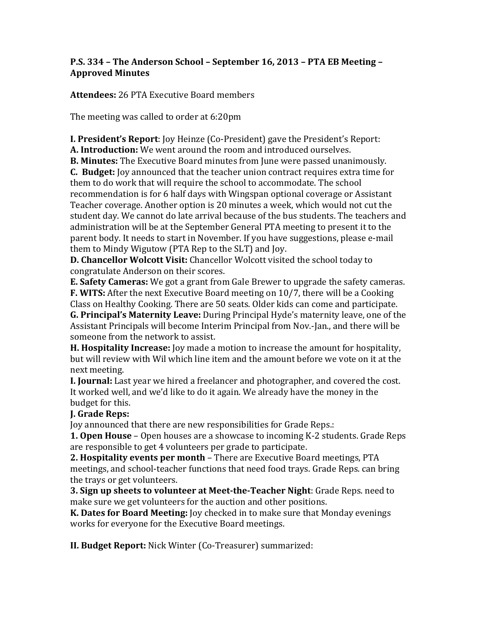# **P.S.** 334 – The Anderson School – September 16, 2013 – PTA EB Meeting – **Approved Minutes**

**Attendees:** 26 PTA Executive Board members

The meeting was called to order at 6:20pm

**I. President's Report:** Joy Heinze (Co-President) gave the President's Report:

**A. Introduction:** We went around the room and introduced ourselves.

**B. Minutes:** The Executive Board minutes from June were passed unanimously.

**C.** Budget: Joy announced that the teacher union contract requires extra time for them to do work that will require the school to accommodate. The school recommendation is for 6 half days with Wingspan optional coverage or Assistant Teacher coverage. Another option is 20 minutes a week, which would not cut the student day. We cannot do late arrival because of the bus students. The teachers and administration will be at the September General PTA meeting to present it to the parent body. It needs to start in November. If you have suggestions, please e-mail them to Mindy Wigutow (PTA Rep to the SLT) and Joy.

**D. Chancellor Wolcott Visit:** Chancellor Wolcott visited the school today to congratulate Anderson on their scores.

**E.** Safety Cameras: We got a grant from Gale Brewer to upgrade the safety cameras. **F. WITS:** After the next Executive Board meeting on 10/7, there will be a Cooking Class on Healthy Cooking. There are 50 seats. Older kids can come and participate.

**G. Principal's Maternity Leave:** During Principal Hyde's maternity leave, one of the Assistant Principals will become Interim Principal from Nov.-Jan., and there will be someone from the network to assist.

**H. Hospitality Increase:** Joy made a motion to increase the amount for hospitality, but will review with Wil which line item and the amount before we vote on it at the next meeting.

**I. Journal:** Last year we hired a freelancer and photographer, and covered the cost. It worked well, and we'd like to do it again. We already have the money in the budget for this.

# **I.** Grade Reps:

Joy announced that there are new responsibilities for Grade Reps.:

**1. Open House** – Open houses are a showcase to incoming K-2 students. Grade Reps are responsible to get 4 volunteers per grade to participate.

**2. Hospitality events per month** – There are Executive Board meetings, PTA meetings, and school-teacher functions that need food trays. Grade Reps. can bring the trays or get volunteers.

**3. Sign up sheets to volunteer at Meet-the-Teacher Night**: Grade Reps. need to make sure we get volunteers for the auction and other positions.

**K.** Dates for Board Meeting: Joy checked in to make sure that Monday evenings works for everyone for the Executive Board meetings.

**II. Budget Report:** Nick Winter (Co-Treasurer) summarized: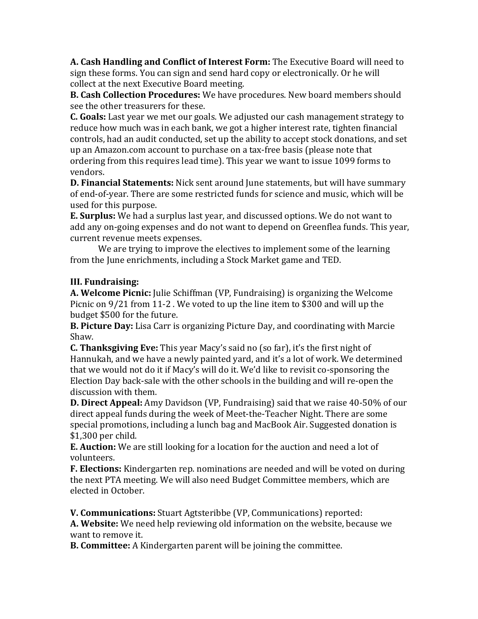**A. Cash Handling and Conflict of Interest Form:** The Executive Board will need to sign these forms. You can sign and send hard copy or electronically. Or he will collect at the next Executive Board meeting.

**B. Cash Collection Procedures:** We have procedures. New board members should see the other treasurers for these.

**C.** Goals: Last year we met our goals. We adjusted our cash management strategy to reduce how much was in each bank, we got a higher interest rate, tighten financial controls, had an audit conducted, set up the ability to accept stock donations, and set up an Amazon.com account to purchase on a tax-free basis (please note that ordering from this requires lead time). This year we want to issue 1099 forms to vendors. 

**D. Financial Statements:** Nick sent around June statements, but will have summary of end-of-year. There are some restricted funds for science and music, which will be used for this purpose.

**E. Surplus:** We had a surplus last year, and discussed options. We do not want to add any on-going expenses and do not want to depend on Greenflea funds. This year, current revenue meets expenses.

We are trying to improve the electives to implement some of the learning from the June enrichments, including a Stock Market game and TED.

# **III.** Fundraising:

**A. Welcome Picnic:** Julie Schiffman (VP, Fundraising) is organizing the Welcome Picnic on  $9/21$  from 11-2. We voted to up the line item to \$300 and will up the budget \$500 for the future.

**B. Picture Day:** Lisa Carr is organizing Picture Day, and coordinating with Marcie Shaw.

**C. Thanksgiving Eve:** This year Macy's said no (so far), it's the first night of Hannukah, and we have a newly painted yard, and it's a lot of work. We determined that we would not do it if Macy's will do it. We'd like to revisit co-sponsoring the Election Day back-sale with the other schools in the building and will re-open the discussion with them.

**D. Direct Appeal:** Amy Davidson (VP, Fundraising) said that we raise 40-50% of our direct appeal funds during the week of Meet-the-Teacher Night. There are some special promotions, including a lunch bag and MacBook Air. Suggested donation is  $$1,300$  per child.

**E. Auction:** We are still looking for a location for the auction and need a lot of volunteers. 

**F. Elections:** Kindergarten rep. nominations are needed and will be voted on during the next PTA meeting. We will also need Budget Committee members, which are elected in October.

**V. Communications:** Stuart Agtsteribbe (VP, Communications) reported:

A. Website: We need help reviewing old information on the website, because we want to remove it.

**B. Committee:** A Kindergarten parent will be joining the committee.